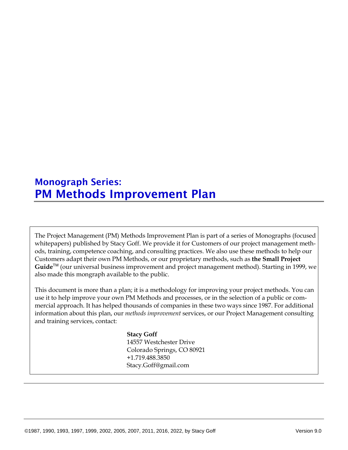# Monograph Series: PM Methods Improvement Plan

The Project Management (PM) Methods Improvement Plan is part of a series of Monographs (focused whitepapers) published by Stacy Goff. We provide it for Customers of our project management methods, training, competence coaching, and consulting practices. We also use these methods to help our Customers adapt their own PM Methods, or our proprietary methods, such as **the Small Project**  Guide<sup>™</sup> (our universal business improvement and project management method). Starting in 1999, we also made this mongraph available to the public.

This document is more than a plan; it is a methodology for improving your project methods. You can use it to help improve your own PM Methods and processes, or in the selection of a public or commercial approach. It has helped thousands of companies in these two ways since 1987. For additional information about this plan, our *methods improvement* services, or our Project Management consulting and training services, contact:

# **Stacy Goff**

14557 Westchester Drive Colorado Springs, CO 80921 +1.719.488.3850 Stacy.Goff@gmail.com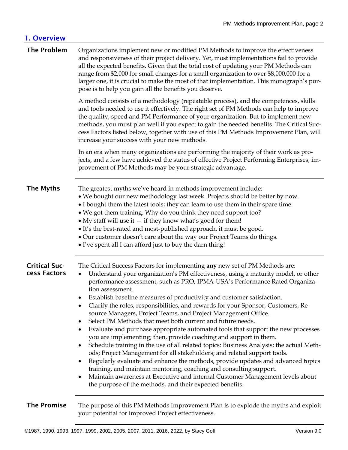# 1. Overview **The Problem** Organizations implement new or modified PM Methods to improve the effectiveness and responsiveness of their project delivery. Yet, most implementations fail to provide all the expected benefits. Given that the total cost of updating your PM Methods can range from \$2,000 for small changes for a small organization to over \$8,000,000 for a larger one, it is crucial to make the most of that implementation. This monograph's purpose is to help you gain all the benefits you deserve. A method consists of a methodology (repeatable process), and the competences, skills and tools needed to use it effectively. The right set of PM Methods can help to improve the quality, speed and PM Performance of your organization. But to implement new methods, you must plan well if you expect to gain the needed benefits. The Critical Success Factors listed below, together with use of this PM Methods Improvement Plan, will increase your success with your new methods. In an era when many organizations are performing the majority of their work as projects, and a few have achieved the status of effective Project Performing Enterprises, improvement of PM Methods may be your strategic advantage. **The Myths** The greatest myths we've heard in methods improvement include: • We bought our new methodology last week. Projects should be better by now. • I bought them the latest tools; they can learn to use them in their spare time. • We got them training. Why do you think they need support too? • My staff will use it  $-$  if they know what's good for them! • It's the best-rated and most-published approach, it must be good. • Our customer doesn't care about the way our Project Teams do things. • I've spent all I can afford just to buy the darn thing! Critical Success Factors The Critical Success Factors for implementing **any** new set of PM Methods are: • Understand your organization's PM effectiveness, using a maturity model, or other performance assessment, such as PRO, IPMA-USA's Performance Rated Organization assessment. • Establish baseline measures of productivity and customer satisfaction. • Clarify the roles, responsibilities, and rewards for your Sponsor, Customers, Resource Managers, Project Teams, and Project Management Office. • Select PM Methods that meet both current and future needs. • Evaluate and purchase appropriate automated tools that support the new processes you are implementing; then, provide coaching and support in them. • Schedule training in the use of all related topics: Business Analysis; the actual Methods; Project Management for all stakeholders; and related support tools. • Regularly evaluate and enhance the methods, provide updates and advanced topics training, and maintain mentoring, coaching and consulting support. • Maintain awareness at Executive and internal Customer Management levels about the purpose of the methods, and their expected benefits.

### The Promise The purpose of this PM Methods Improvement Plan is to explode the myths and exploit your potential for improved Project effectiveness.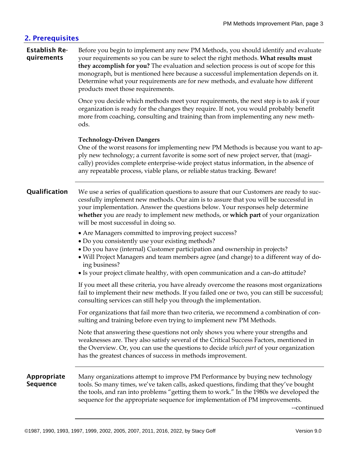# 2. Prerequisites

#### Establish Requirements

Before you begin to implement any new PM Methods, you should identify and evaluate your requirements so you can be sure to select the right methods. **What results must they accomplish for you?** The evaluation and selection process is out of scope for this monograph, but is mentioned here because a successful implementation depends on it. Determine what your requirements are for new methods, and evaluate how different products meet those requirements.

Once you decide which methods meet your requirements, the next step is to ask if your organization is ready for the changes they require. If not, you would probably benefit more from coaching, consulting and training than from implementing any new methods.

### **Technology-Driven Dangers**

One of the worst reasons for implementing new PM Methods is because you want to apply new technology; a current favorite is some sort of new project server, that (magically) provides complete enterprise-wide project status information, in the absence of any repeatable process, viable plans, or reliable status tracking. Beware!

**Qualification** We use a series of qualification questions to assure that our Customers are ready to successfully implement new methods. Our aim is to assure that you will be successful in your implementation. Answer the questions below. Your responses help determine **whether** you are ready to implement new methods, or **which part** of your organization will be most successful in doing so.

- Are Managers committed to improving project success?
- Do you consistently use your existing methods?
- Do you have (internal) Customer participation and ownership in projects?
- Will Project Managers and team members agree (and change) to a different way of doing business?
- Is your project climate healthy, with open communication and a can-do attitude?

If you meet all these criteria, you have already overcome the reasons most organizations fail to implement their new methods. If you failed one or two, you can still be successful; consulting services can still help you through the implementation.

For organizations that fail more than two criteria, we recommend a combination of consulting and training before even trying to implement new PM Methods.

Note that answering these questions not only shows you where your strengths and weaknesses are. They also satisfy several of the Critical Success Factors, mentioned in the Overview. Or, you can use the questions to decide *which part* of your organization has the greatest chances of success in methods improvement.

#### Appropriate Sequence

Many organizations attempt to improve PM Performance by buying new technology tools. So many times, we've taken calls, asked questions, findimg that they've bought the tools, and ran into problems "getting them to work." In the 1980s we developed the sequence for the appropriate sequence for implementation of PM improvements.

--continued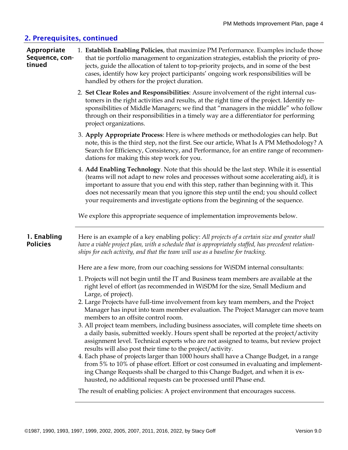# 2. Prerequisites, continued

| Appropriate<br>Sequence, con-<br>tinued | 1. Establish Enabling Policies, that maximize PM Performance. Examples include those<br>that tie portfolio management to organization strategies, establish the priority of pro-<br>jects, guide the allocation of talent to top-priority projects, and in some of the best<br>cases, identify how key project participants' ongoing work responsibilities will be<br>handled by others for the project duration.                                     |
|-----------------------------------------|-------------------------------------------------------------------------------------------------------------------------------------------------------------------------------------------------------------------------------------------------------------------------------------------------------------------------------------------------------------------------------------------------------------------------------------------------------|
|                                         | 2. Set Clear Roles and Responsibilities: Assure involvement of the right internal cus-<br>tomers in the right activities and results, at the right time of the project. Identify re-<br>sponsibilities of Middle Managers; we find that "managers in the middle" who follow<br>through on their responsibilities in a timely way are a differentiator for performing<br>project organizations.                                                        |
|                                         | 3. Apply Appropriate Process: Here is where methods or methodologies can help. But<br>note, this is the third step, not the first. See our article, What Is A PM Methodology? A<br>Search for Efficiency, Consistency, and Performance, for an entire range of recommen-<br>dations for making this step work for you.                                                                                                                                |
|                                         | 4. Add Enabling Technology. Note that this should be the last step. While it is essential<br>(teams will not adapt to new roles and processes without some accelerating aid), it is<br>important to assure that you end with this step, rather than beginning with it. This<br>does not necessarily mean that you ignore this step until the end; you should collect<br>your requirements and investigate options from the beginning of the sequence. |
|                                         | We explore this appropriate sequence of implementation improvements below.                                                                                                                                                                                                                                                                                                                                                                            |
| 1. Enabling<br><b>Policies</b>          | Here is an example of a key enabling policy: All projects of a certain size and greater shall<br>have a viable project plan, with a schedule that is appropriately staffed, has precedent relation-<br>ships for each activity, and that the team will use as a baseline for tracking.                                                                                                                                                                |
|                                         | Here are a few more, from our coaching sessions for WiSDM internal consultants:                                                                                                                                                                                                                                                                                                                                                                       |
|                                         | 1. Projects will not begin until the IT and Business team members are available at the<br>right level of effort (as recommended in WiSDM for the size, Small Medium and<br>Large, of project).                                                                                                                                                                                                                                                        |
|                                         | 2. Large Projects have full-time involvement from key team members, and the Project<br>Manager has input into team member evaluation. The Project Manager can move team<br>members to an offsite control room.                                                                                                                                                                                                                                        |
|                                         | 3. All project team members, including business associates, will complete time sheets on<br>a daily basis, submitted weekly. Hours spent shall be reported at the project/activity<br>assignment level. Technical experts who are not assigned to teams, but review project<br>results will also post their time to the project/activity.                                                                                                             |
|                                         | 4. Each phase of projects larger than 1000 hours shall have a Change Budget, in a range<br>from 5% to 10% of phase effort. Effort or cost consumed in evaluating and implement-<br>ing Change Requests shall be charged to this Change Budget, and when it is ex-<br>hausted, no additional requests can be processed until Phase end.                                                                                                                |
|                                         | The result of enabling policies: A project environment that encourages success.                                                                                                                                                                                                                                                                                                                                                                       |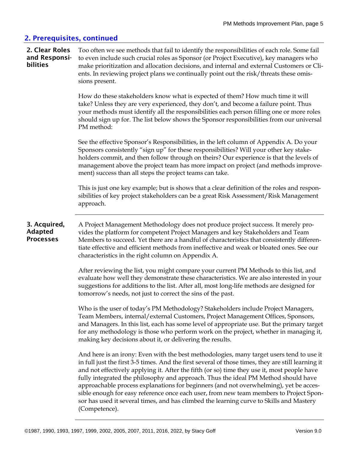# 2. Prerequisites, continued

| 2. Clear Roles<br>and Responsi-<br>bilities        | Too often we see methods that fail to identify the responsibilities of each role. Some fail<br>to even include such crucial roles as Sponsor (or Project Executive), key managers who<br>make prioritization and allocation decisions, and internal and external Customers or Cli-<br>ents. In reviewing project plans we continually point out the risk/threats these omis-<br>sions present.                                                                                                                                                                                                                                                                                     |
|----------------------------------------------------|------------------------------------------------------------------------------------------------------------------------------------------------------------------------------------------------------------------------------------------------------------------------------------------------------------------------------------------------------------------------------------------------------------------------------------------------------------------------------------------------------------------------------------------------------------------------------------------------------------------------------------------------------------------------------------|
|                                                    | How do these stakeholders know what is expected of them? How much time it will<br>take? Unless they are very experienced, they don't, and become a failure point. Thus<br>your methods must identify all the responsibilities each person filling one or more roles<br>should sign up for. The list below shows the Sponsor responsibilities from our universal<br>PM method:                                                                                                                                                                                                                                                                                                      |
|                                                    | See the effective Sponsor's Responsibilities, in the left column of Appendix A. Do your<br>Sponsors consistently "sign up" for these responsibilities? Will your other key stake-<br>holders commit, and then follow through on theirs? Our experience is that the levels of<br>management above the project team has more impact on project (and methods improve-<br>ment) success than all steps the project teams can take.                                                                                                                                                                                                                                                     |
|                                                    | This is just one key example; but is shows that a clear definition of the roles and respon-<br>sibilities of key project stakeholders can be a great Risk Assessment/Risk Management<br>approach.                                                                                                                                                                                                                                                                                                                                                                                                                                                                                  |
| 3. Acquired,<br><b>Adapted</b><br><b>Processes</b> | A Project Management Methodology does not produce project success. It merely pro-<br>vides the platform for competent Project Managers and key Stakeholders and Team<br>Members to succeed. Yet there are a handful of characteristics that consistently differen-<br>tiate effective and efficient methods from ineffective and weak or bloated ones. See our<br>characteristics in the right column on Appendix A.                                                                                                                                                                                                                                                               |
|                                                    | After reviewing the list, you might compare your current PM Methods to this list, and<br>evaluate how well they demonstrate these characteristics. We are also interested in your<br>suggestions for additions to the list. After all, most long-life methods are designed for<br>tomorrow's needs, not just to correct the sins of the past.                                                                                                                                                                                                                                                                                                                                      |
|                                                    | Who is the user of today's PM Methodology? Stakeholders include Project Managers,<br>Team Members, internal/external Customers, Project Management Offices, Sponsors,<br>and Managers. In this list, each has some level of appropriate use. But the primary target<br>for any methodology is those who perform work on the project, whether in managing it,<br>making key decisions about it, or delivering the results.                                                                                                                                                                                                                                                          |
|                                                    | And here is an irony: Even with the best methodologies, many target users tend to use it<br>in full just the first 3-5 times. And the first several of those times, they are still learning it<br>and not effectively applying it. After the fifth (or so) time they use it, most people have<br>fully integrated the philosophy and approach. Thus the ideal PM Method should have<br>approachable process explanations for beginners (and not overwhelming), yet be acces-<br>sible enough for easy reference once each user, from new team members to Project Spon-<br>sor has used it several times, and has climbed the learning curve to Skills and Mastery<br>(Competence). |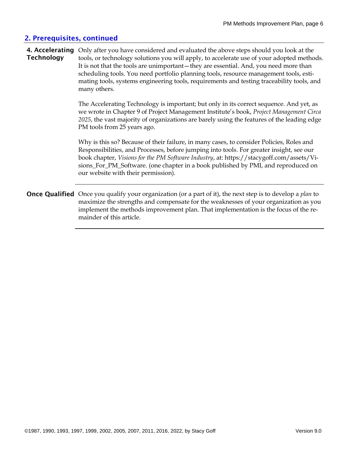# 2. Prerequisites, continued

#### 4. Accelerating Only after you have considered and evaluated the above steps should you look at the **Technology** tools, or technology solutions you will apply, to accelerate use of your adopted methods. It is not that the tools are unimportant—they are essential. And, you need more than scheduling tools. You need portfolio planning tools, resource management tools, estimating tools, systems engineering tools, requirements and testing traceability tools, and many others.

The Accelerating Technology is important; but only in its correct sequence. And yet, as we wrote in Chapter 9 of Project Management Institute's book, *Project Management Circa 2025*, the vast majority of organizations are barely using the features of the leading edge PM tools from 25 years ago.

Why is this so? Because of their failure, in many cases, to consider Policies, Roles and Responsibilities, and Processes, before jumping into tools. For greater insight, see our book chapter, *Visions for the PM Software Industry*, at: https://stacygoff.com/assets/Visions\_For\_PM\_Software. (one chapter in a book published by PMI, and reproduced on our website with their permission).

Once Qualified Once you qualify your organization (or a part of it), the next step is to develop a *plan* to maximize the strengths and compensate for the weaknesses of your organization as you implement the methods improvement plan. That implementation is the focus of the remainder of this article.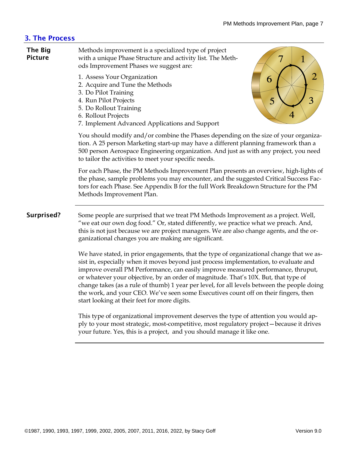# 3. The Process

| <b>The Big</b><br><b>Picture</b> | Methods improvement is a specialized type of project<br>7<br>with a unique Phase Structure and activity list. The Meth-<br>$\mathbf 1$<br>ods Improvement Phases we suggest are:                                                                                                                                                                                                                                                                                                                                                                                                                    |
|----------------------------------|-----------------------------------------------------------------------------------------------------------------------------------------------------------------------------------------------------------------------------------------------------------------------------------------------------------------------------------------------------------------------------------------------------------------------------------------------------------------------------------------------------------------------------------------------------------------------------------------------------|
|                                  | $\overline{2}$<br>1. Assess Your Organization<br>6<br>2. Acquire and Tune the Methods<br>3. Do Pilot Training<br>3<br>5<br>4. Run Pilot Projects<br>5. Do Rollout Training<br>$\overline{4}$<br>6. Rollout Projects<br>7. Implement Advanced Applications and Support                                                                                                                                                                                                                                                                                                                               |
|                                  | You should modify and/or combine the Phases depending on the size of your organiza-<br>tion. A 25 person Marketing start-up may have a different planning framework than a<br>500 person Aerospace Engineering organization. And just as with any project, you need<br>to tailor the activities to meet your specific needs.                                                                                                                                                                                                                                                                        |
|                                  | For each Phase, the PM Methods Improvement Plan presents an overview, high-lights of<br>the phase, sample problems you may encounter, and the suggested Critical Success Fac-<br>tors for each Phase. See Appendix B for the full Work Breakdown Structure for the PM<br>Methods Improvement Plan.                                                                                                                                                                                                                                                                                                  |
| Surprised?                       | Some people are surprised that we treat PM Methods Improvement as a project. Well,<br>"we eat our own dog food." Or, stated differently, we practice what we preach. And,<br>this is not just because we are project managers. We are also change agents, and the or-<br>ganizational changes you are making are significant.                                                                                                                                                                                                                                                                       |
|                                  | We have stated, in prior engagements, that the type of organizational change that we as-<br>sist in, especially when it moves beyond just process implementation, to evaluate and<br>improve overall PM Performance, can easily improve measured performance, thruput,<br>or whatever your objective, by an order of magnitude. That's 10X. But, that type of<br>change takes (as a rule of thumb) 1 year per level, for all levels between the people doing<br>the work, and your CEO. We've seen some Executives count off on their fingers, then<br>start looking at their feet for more digits. |
|                                  | This type of organizational improvement deserves the type of attention you would ap-<br>ply to your most strategic, most-competitive, most regulatory project - because it drives<br>your future. Yes, this is a project, and you should manage it like one.                                                                                                                                                                                                                                                                                                                                        |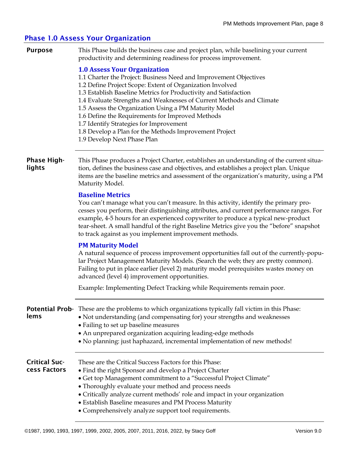# Phase 1.0 Assess Your Organization

| <b>Purpose</b>                       | This Phase builds the business case and project plan, while baselining your current<br>productivity and determining readiness for process improvement.                                                                                                                                                                                                                                                                                                                                                                                                             |
|--------------------------------------|--------------------------------------------------------------------------------------------------------------------------------------------------------------------------------------------------------------------------------------------------------------------------------------------------------------------------------------------------------------------------------------------------------------------------------------------------------------------------------------------------------------------------------------------------------------------|
|                                      | <b>1.0 Assess Your Organization</b><br>1.1 Charter the Project: Business Need and Improvement Objectives<br>1.2 Define Project Scope: Extent of Organization Involved<br>1.3 Establish Baseline Metrics for Productivity and Satisfaction<br>1.4 Evaluate Strengths and Weaknesses of Current Methods and Climate<br>1.5 Assess the Organization Using a PM Maturity Model<br>1.6 Define the Requirements for Improved Methods<br>1.7 Identify Strategies for Improvement<br>1.8 Develop a Plan for the Methods Improvement Project<br>1.9 Develop Next Phase Plan |
| <b>Phase High-</b><br>lights         | This Phase produces a Project Charter, establishes an understanding of the current situa-<br>tion, defines the business case and objectives, and establishes a project plan. Unique<br>items are the baseline metrics and assessment of the organization's maturity, using a PM<br>Maturity Model.                                                                                                                                                                                                                                                                 |
|                                      | <b>Baseline Metrics</b><br>You can't manage what you can't measure. In this activity, identify the primary pro-<br>cesses you perform, their distinguishing attributes, and current performance ranges. For<br>example, 4-5 hours for an experienced copywriter to produce a typical new-product<br>tear-sheet. A small handful of the right Baseline Metrics give you the "before" snapshot<br>to track against as you implement improvement methods.                                                                                                             |
|                                      | <b>PM Maturity Model</b><br>A natural sequence of process improvement opportunities fall out of the currently-popu-<br>lar Project Management Maturity Models. (Search the web; they are pretty common).<br>Failing to put in place earlier (level 2) maturity model prerequisites wastes money on<br>advanced (level 4) improvement opportunities.                                                                                                                                                                                                                |
|                                      | Example: Implementing Defect Tracking while Requirements remain poor.                                                                                                                                                                                                                                                                                                                                                                                                                                                                                              |
| lems                                 | Potential Prob- These are the problems to which organizations typically fall victim in this Phase:<br>• Not understanding (and compensating for) your strengths and weaknesses<br>• Failing to set up baseline measures<br>• An unprepared organization acquiring leading-edge methods<br>• No planning: just haphazard, incremental implementation of new methods!                                                                                                                                                                                                |
| <b>Critical Suc-</b><br>cess Factors | These are the Critical Success Factors for this Phase:<br>• Find the right Sponsor and develop a Project Charter<br>• Get top Management commitment to a "Successful Project Climate"<br>• Thoroughly evaluate your method and process needs<br>• Critically analyze current methods' role and impact in your organization<br>• Establish Baseline measures and PM Process Maturity<br>• Comprehensively analyze support tool requirements.                                                                                                                        |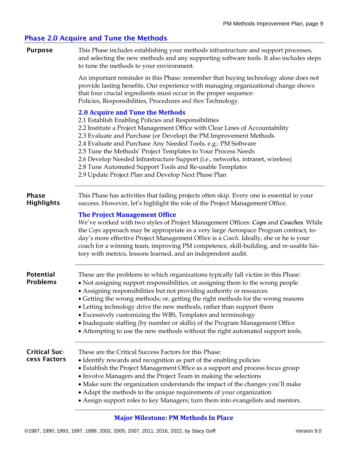# Phase 2.0 Acquire and Tune the Methods

| <b>Purpose</b>                       | This Phase includes establishing your methods infrastructure and support processes,<br>and selecting the new methods and any supporting software tools. It also includes steps<br>to tune the methods to your environment.                                                                                                                                                                                                                                                                                                                                                                                                                   |
|--------------------------------------|----------------------------------------------------------------------------------------------------------------------------------------------------------------------------------------------------------------------------------------------------------------------------------------------------------------------------------------------------------------------------------------------------------------------------------------------------------------------------------------------------------------------------------------------------------------------------------------------------------------------------------------------|
|                                      | An important reminder in this Phase: remember that buying technology alone does not<br>provide lasting benefits. Our experience with managing organizational change shows<br>that four crucial ingredients must occur in the proper sequence:<br>Policies, Responsibilities, Procedures and then Technology.                                                                                                                                                                                                                                                                                                                                 |
|                                      | <b>2.0 Acquire and Tune the Methods</b><br>2.1 Establish Enabling Policies and Responsibilities<br>2.2 Institute a Project Management Office with Clear Lines of Accountability<br>2.3 Evaluate and Purchase (or Develop) the PM Improvement Methods<br>2.4 Evaluate and Purchase Any Needed Tools, e.g.: PM Software<br>2.5 Tune the Methods' Project Templates to Your Process Needs<br>2.6 Develop Needed Infrastructure Support (i.e., networks, intranet, wireless)<br>2.8 Tune Automated Support Tools and Re-usable Templates<br>2.9 Update Project Plan and Develop Next Phase Plan                                                  |
| <b>Phase</b><br><b>Highlights</b>    | This Phase has activities that failing projects often skip. Every one is essential to your<br>success. However, let's highlight the role of the Project Management Office.                                                                                                                                                                                                                                                                                                                                                                                                                                                                   |
|                                      | <b>The Project Management Office</b><br>We've worked with two styles of Project Management Offices: Cops and Coaches. While<br>the Cops approach may be appropriate in a very large Aerospace Program contract, to-<br>day's more effective Project Management Office is a Coach. Ideally, she or he is your<br>coach for a winning team, improving PM competence, skill-building, and re-usable his-<br>tory with metrics, lessons learned, and an independent audit.                                                                                                                                                                       |
| <b>Potential</b><br><b>Problems</b>  | These are the problems to which organizations typically fall victim in this Phase:<br>• Not assigning support responsibilities, or assigning them to the wrong people<br>• Assigning responsibilities but not providing authority or resources<br>• Getting the wrong methods; or, getting the right methods for the wrong reasons<br>• Letting technology drive the new methods, rather than support them<br>• Excessively customizing the WBS, Templates and terminology<br>• Inadequate staffing (by number or skills) of the Program Management Office<br>• Attempting to use the new methods without the right automated support tools. |
| <b>Critical Suc-</b><br>cess Factors | These are the Critical Success Factors for this Phase:<br>• Identify rewards and recognition as part of the enabling policies<br>• Establish the Project Management Office as a support and process focus group<br>• Involve Managers and the Project Team in making the selections<br>• Make sure the organization understands the impact of the changes you'll make<br>• Adapt the methods to the unique requirements of your organization<br>• Assign support roles to key Managers; turn them into evangelists and mentors.                                                                                                              |

### **Major Milestone: PM Methods In Place**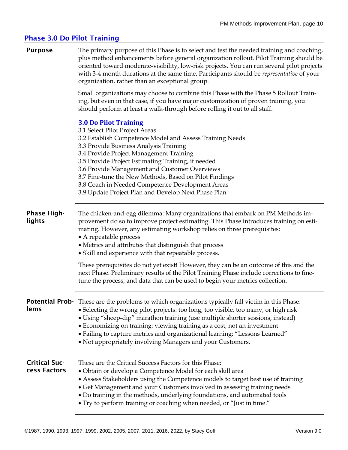# Phase 3.0 Do Pilot Training

| <b>Purpose</b>                       | The primary purpose of this Phase is to select and test the needed training and coaching,<br>plus method enhancements before general organization rollout. Pilot Training should be<br>oriented toward moderate-visibility, low-risk projects. You can run several pilot projects<br>with 3-4 month durations at the same time. Participants should be representative of your<br>organization, rather than an exceptional group.                                                                     |
|--------------------------------------|------------------------------------------------------------------------------------------------------------------------------------------------------------------------------------------------------------------------------------------------------------------------------------------------------------------------------------------------------------------------------------------------------------------------------------------------------------------------------------------------------|
|                                      | Small organizations may choose to combine this Phase with the Phase 5 Rollout Train-<br>ing, but even in that case, if you have major customization of proven training, you<br>should perform at least a walk-through before rolling it out to all staff.                                                                                                                                                                                                                                            |
|                                      | <b>3.0 Do Pilot Training</b><br>3.1 Select Pilot Project Areas<br>3.2 Establish Competence Model and Assess Training Needs<br>3.3 Provide Business Analysis Training<br>3.4 Provide Project Management Training<br>3.5 Provide Project Estimating Training, if needed<br>3.6 Provide Management and Customer Overviews<br>3.7 Fine-tune the New Methods, Based on Pilot Findings<br>3.8 Coach in Needed Competence Development Areas<br>3.9 Update Project Plan and Develop Next Phase Plan          |
| <b>Phase High-</b><br>lights         | The chicken-and-egg dilemma: Many organizations that embark on PM Methods im-<br>provement do so to improve project estimating. This Phase introduces training on esti-<br>mating. However, any estimating workshop relies on three prerequisites:<br>• A repeatable process<br>• Metrics and attributes that distinguish that process<br>• Skill and experience with that repeatable process.                                                                                                       |
|                                      | These prerequisites do not yet exist! However, they can be an outcome of this and the<br>next Phase. Preliminary results of the Pilot Training Phase include corrections to fine-<br>tune the process, and data that can be used to begin your metrics collection.                                                                                                                                                                                                                                   |
| lems                                 | Potential Prob- These are the problems to which organizations typically fall victim in this Phase:<br>• Selecting the wrong pilot projects: too long, too visible, too many, or high risk<br>• Using "sheep-dip" marathon training (use multiple shorter sessions, instead)<br>• Economizing on training: viewing training as a cost, not an investment<br>• Failing to capture metrics and organizational learning: "Lessons Learned"<br>• Not appropriately involving Managers and your Customers. |
| <b>Critical Suc-</b><br>cess Factors | These are the Critical Success Factors for this Phase:<br>· Obtain or develop a Competence Model for each skill area<br>• Assess Stakeholders using the Competence models to target best use of training<br>• Get Management and your Customers involved in assessing training needs<br>• Do training in the methods, underlying foundations, and automated tools<br>• Try to perform training or coaching when needed, or "Just in time."                                                           |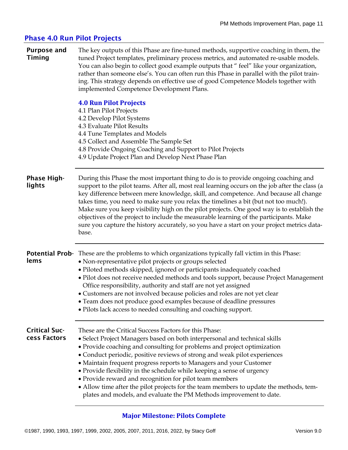# Phase 4.0 Run Pilot Projects

| <b>Purpose and</b><br><b>Timing</b>  | The key outputs of this Phase are fine-tuned methods, supportive coaching in them, the<br>tuned Project templates, preliminary process metrics, and automated re-usable models.<br>You can also begin to collect good example outputs that " feel" like your organization,<br>rather than someone else's. You can often run this Phase in parallel with the pilot train-<br>ing. This strategy depends on effective use of good Competence Models together with<br>implemented Competence Development Plans.                                                                                                                                                             |
|--------------------------------------|--------------------------------------------------------------------------------------------------------------------------------------------------------------------------------------------------------------------------------------------------------------------------------------------------------------------------------------------------------------------------------------------------------------------------------------------------------------------------------------------------------------------------------------------------------------------------------------------------------------------------------------------------------------------------|
|                                      | <b>4.0 Run Pilot Projects</b><br>4.1 Plan Pilot Projects<br>4.2 Develop Pilot Systems<br>4.3 Evaluate Pilot Results<br>4.4 Tune Templates and Models<br>4.5 Collect and Assemble The Sample Set<br>4.8 Provide Ongoing Coaching and Support to Pilot Projects<br>4.9 Update Project Plan and Develop Next Phase Plan                                                                                                                                                                                                                                                                                                                                                     |
| <b>Phase High-</b><br>lights         | During this Phase the most important thing to do is to provide ongoing coaching and<br>support to the pilot teams. After all, most real learning occurs on the job after the class (a<br>key difference between mere knowledge, skill, and competence. And because all change<br>takes time, you need to make sure you relax the timelines a bit (but not too much!).<br>Make sure you keep visibility high on the pilot projects. One good way is to establish the<br>objectives of the project to include the measurable learning of the participants. Make<br>sure you capture the history accurately, so you have a start on your project metrics data-<br>base.     |
| lems                                 | Potential Prob- These are the problems to which organizations typically fall victim in this Phase:<br>• Non-representative pilot projects or groups selected<br>• Piloted methods skipped, ignored or participants inadequately coached<br>• Pilot does not receive needed methods and tools support, because Project Management<br>Office responsibility, authority and staff are not yet assigned<br>• Customers are not involved because policies and roles are not yet clear<br>• Team does not produce good examples because of deadline pressures<br>• Pilots lack access to needed consulting and coaching support.                                               |
| <b>Critical Suc-</b><br>cess Factors | These are the Critical Success Factors for this Phase:<br>• Select Project Managers based on both interpersonal and technical skills<br>• Provide coaching and consulting for problems and project optimization<br>• Conduct periodic, positive reviews of strong and weak pilot experiences<br>• Maintain frequent progress reports to Managers and your Customer<br>• Provide flexibility in the schedule while keeping a sense of urgency<br>• Provide reward and recognition for pilot team members<br>• Allow time after the pilot projects for the team members to update the methods, tem-<br>plates and models, and evaluate the PM Methods improvement to date. |

# **Major Milestone: Pilots Complete**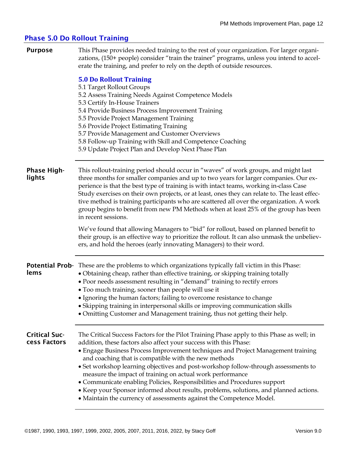### Phase 5.0 Do Rollout Training

**Purpose** This Phase provides needed training to the rest of your organization. For larger organizations, (150+ people) consider "train the trainer" programs, unless you intend to accelerate the training, and prefer to rely on the depth of outside resources.

#### **5.0 Do Rollout Training**

|                                      | <b>5.0 Do Rollout Training</b><br>5.1 Target Rollout Groups<br>5.2 Assess Training Needs Against Competence Models<br>5.3 Certify In-House Trainers<br>5.4 Provide Business Process Improvement Training<br>5.5 Provide Project Management Training<br>5.6 Provide Project Estimating Training<br>5.7 Provide Management and Customer Overviews<br>5.8 Follow-up Training with Skill and Competence Coaching<br>5.9 Update Project Plan and Develop Next Phase Plan                                                                                                              |
|--------------------------------------|----------------------------------------------------------------------------------------------------------------------------------------------------------------------------------------------------------------------------------------------------------------------------------------------------------------------------------------------------------------------------------------------------------------------------------------------------------------------------------------------------------------------------------------------------------------------------------|
| <b>Phase High-</b><br>lights         | This rollout-training period should occur in "waves" of work groups, and might last<br>three months for smaller companies and up to two years for larger companies. Our ex-<br>perience is that the best type of training is with intact teams, working in-class Case<br>Study exercises on their own projects, or at least, ones they can relate to. The least effec-<br>tive method is training participants who are scattered all over the organization. A work<br>group begins to benefit from new PM Methods when at least 25% of the group has been<br>in recent sessions. |
|                                      | We've found that allowing Managers to "bid" for rollout, based on planned benefit to<br>their group, is an effective way to prioritize the rollout. It can also unmask the unbeliev-<br>ers, and hold the heroes (early innovating Managers) to their word.                                                                                                                                                                                                                                                                                                                      |
| lems                                 | Potential Prob- These are the problems to which organizations typically fall victim in this Phase:<br>• Obtaining cheap, rather than effective training, or skipping training totally<br>• Poor needs assessment resulting in "demand" training to rectify errors<br>• Too much training, sooner than people will use it<br>• Ignoring the human factors; failing to overcome resistance to change<br>• Skipping training in interpersonal skills or improving communication skills<br>• Omitting Customer and Management training, thus not getting their help.                 |
| <b>Critical Suc-</b><br>cess Factors | The Critical Success Factors for the Pilot Training Phase apply to this Phase as well; in<br>addition, these factors also affect your success with this Phase:<br>• Engage Business Process Improvement techniques and Project Management training<br>and coaching that is compatible with the new methods<br>• Set workshop learning objectives and post-workshop follow-through assessments to<br>measure the impact of training on actual work performance<br>• Communicate enabling Policies, Responsibilities and Procedures support                                        |

- Keep your Sponsor informed about results, problems, solutions, and planned actions.
- Maintain the currency of assessments against the Competence Model.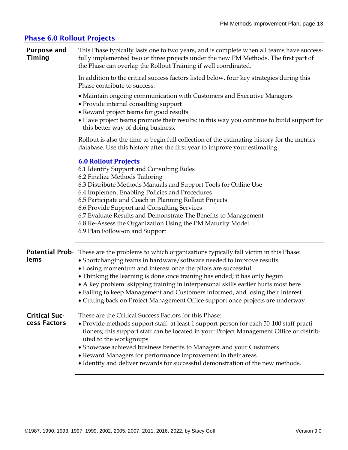### Phase 6.0 Rollout Projects

| <b>Purpose and</b> | This Phase typically lasts one to two years, and is complete when all teams have success- |
|--------------------|-------------------------------------------------------------------------------------------|
| <b>Timing</b>      | fully implemented two or three projects under the new PM Methods. The first part of       |
|                    | the Phase can overlap the Rollout Training if well coordinated.                           |

In addition to the critical success factors listed below, four key strategies during this Phase contribute to success:

- Maintain ongoing communication with Customers and Executive Managers
- Provide internal consulting support
- Reward project teams for good results
- Have project teams promote their results: in this way you continue to build support for this better way of doing business.

Rollout is also the time to begin full collection of the estimating history for the metrics database. Use this history after the first year to improve your estimating.

#### **6.0 Rollout Projects**

6.1 Identify Support and Consulting Roles

- 6.2 Finalize Methods Tailoring
- 6.3 Distribute Methods Manuals and Support Tools for Online Use
- 6.4 Implement Enabling Policies and Procedures
- 6.5 Participate and Coach in Planning Rollout Projects

6.6 Provide Support and Consulting Services

- 6.7 Evaluate Results and Demonstrate The Benefits to Management
- 6.8 Re-Assess the Organization Using the PM Maturity Model

6.9 Plan Follow-on and Support

|               | <b>Potential Prob-</b> These are the problems to which organizations typically fall victim in this Phase:                                                                                                      |  |  |
|---------------|----------------------------------------------------------------------------------------------------------------------------------------------------------------------------------------------------------------|--|--|
| lems          | • Shortchanging teams in hardware/software needed to improve results                                                                                                                                           |  |  |
|               | • Losing momentum and interest once the pilots are successful                                                                                                                                                  |  |  |
|               | • Thinking the learning is done once training has ended; it has only begun                                                                                                                                     |  |  |
|               | • A key problem: skipping training in interpersonal skills earlier hurts most here                                                                                                                             |  |  |
|               | • Failing to keep Management and Customers informed, and losing their interest                                                                                                                                 |  |  |
|               | • Cutting back on Project Management Office support once projects are underway.                                                                                                                                |  |  |
| Critical Suc- | These are the Critical Success Factors for this Phase:                                                                                                                                                         |  |  |
| cess Factors  | • Provide methods support staff: at least 1 support person for each 50-100 staff practi-<br>tioners; this support staff can be located in your Project Management Office or distrib-<br>uted to the workgroups |  |  |
|               | • Showcase achieved business benefits to Managers and your Customers                                                                                                                                           |  |  |
|               | • Reward Managers for performance improvement in their areas                                                                                                                                                   |  |  |

• Identify and deliver rewards for successful demonstration of the new methods.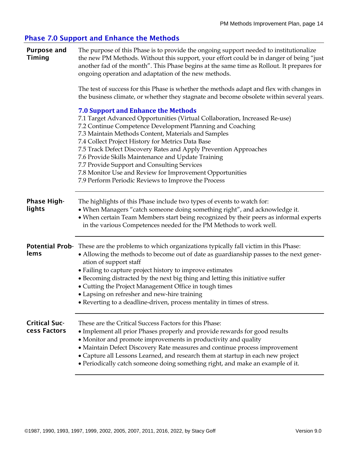# Phase 7.0 Support and Enhance the Methods

| <b>Purpose and</b><br>Timing         | The purpose of this Phase is to provide the ongoing support needed to institutionalize<br>the new PM Methods. Without this support, your effort could be in danger of being "just<br>another fad of the month". This Phase begins at the same time as Rollout. It prepares for<br>ongoing operation and adaptation of the new methods.                                                                                                                                                                                                                                                         |
|--------------------------------------|------------------------------------------------------------------------------------------------------------------------------------------------------------------------------------------------------------------------------------------------------------------------------------------------------------------------------------------------------------------------------------------------------------------------------------------------------------------------------------------------------------------------------------------------------------------------------------------------|
|                                      | The test of success for this Phase is whether the methods adapt and flex with changes in<br>the business climate, or whether they stagnate and become obsolete within several years.                                                                                                                                                                                                                                                                                                                                                                                                           |
|                                      | <b>7.0 Support and Enhance the Methods</b><br>7.1 Target Advanced Opportunities (Virtual Collaboration, Increased Re-use)<br>7.2 Continue Competence Development Planning and Coaching<br>7.3 Maintain Methods Content, Materials and Samples<br>7.4 Collect Project History for Metrics Data Base<br>7.5 Track Defect Discovery Rates and Apply Prevention Approaches<br>7.6 Provide Skills Maintenance and Update Training<br>7.7 Provide Support and Consulting Services<br>7.8 Monitor Use and Review for Improvement Opportunities<br>7.9 Perform Periodic Reviews to Improve the Process |
| <b>Phase High-</b><br>lights         | The highlights of this Phase include two types of events to watch for:<br>• When Managers "catch someone doing something right", and acknowledge it.<br>• When certain Team Members start being recognized by their peers as informal experts<br>in the various Competences needed for the PM Methods to work well.                                                                                                                                                                                                                                                                            |
| lems                                 | <b>Potential Prob-</b> These are the problems to which organizations typically fall victim in this Phase:<br>• Allowing the methods to become out of date as guardianship passes to the next gener-<br>ation of support staff<br>• Failing to capture project history to improve estimates<br>• Becoming distracted by the next big thing and letting this initiative suffer<br>• Cutting the Project Management Office in tough times<br>• Lapsing on refresher and new-hire training<br>• Reverting to a deadline-driven, process mentality in times of stress.                              |
| <b>Critical Suc-</b><br>cess Factors | These are the Critical Success Factors for this Phase:<br>• Implement all prior Phases properly and provide rewards for good results<br>• Monitor and promote improvements in productivity and quality<br>• Maintain Defect Discovery Rate measures and continue process improvement<br>• Capture all Lessons Learned, and research them at startup in each new project<br>· Periodically catch someone doing something right, and make an example of it.                                                                                                                                      |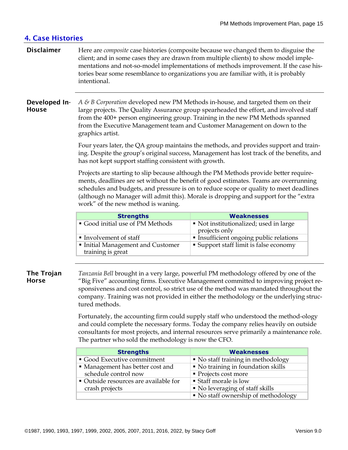# 4. Case Histories

**Disclaimer** Here are *composite* case histories (composite because we changed them to disguise the client; and in some cases they are drawn from multiple clients) to show model implementations and not-so-model implementations of methods improvement. If the case histories bear some resemblance to organizations you are familiar with, it is probably intentional.

#### Developed In-**House** *A & B Corporation* developed new PM Methods in-house, and targeted them on their large projects. The Quality Assurance group spearheaded the effort, and involved staff from the 400+ person engineering group. Training in the new PM Methods spanned from the Executive Management team and Customer Management on down to the graphics artist.

Four years later, the QA group maintains the methods, and provides support and training. Despite the group's original success, Management has lost track of the benefits, and has not kept support staffing consistent with growth.

Projects are starting to slip because although the PM Methods provide better requirements, deadlines are set without the benefit of good estimates. Teams are overrunning schedules and budgets, and pressure is on to reduce scope or quality to meet deadlines (although no Manager will admit this). Morale is dropping and support for the "extra work" of the new method is waning.

| <b>Strengths</b>                                     | <b>Weaknesses</b>                                       |
|------------------------------------------------------|---------------------------------------------------------|
| Good initial use of PM Methods                       | • Not institutionalized; used in large<br>projects only |
| Involvement of staff                                 | • Insufficient ongoing public relations                 |
| Initial Management and Customer<br>training is great | • Support staff limit is false economy                  |

### The Trojan **Horse**

*Tanzania Bell* brought in a very large, powerful PM methodology offered by one of the "Big Five" accounting firms. Executive Management committed to improving project responsiveness and cost control, so strict use of the method was mandated throughout the company. Training was not provided in either the methodology or the underlying structured methods.

Fortunately, the accounting firm could supply staff who understood the method-ology and could complete the necessary forms. Today the company relies heavily on outside consultants for most projects, and internal resources serve primarily a maintenance role. The partner who sold the methodology is now the CFO.

| <b>Strengths</b>                      | <b>Weaknesses</b>                   |
|---------------------------------------|-------------------------------------|
| Good Executive commitment             | • No staff training in methodology  |
| • Management has better cost and      | • No training in foundation skills  |
| schedule control now                  | • Projects cost more                |
| • Outside resources are available for | ■ Staff morale is low               |
| crash projects                        | • No leveraging of staff skills     |
|                                       | • No staff ownership of methodology |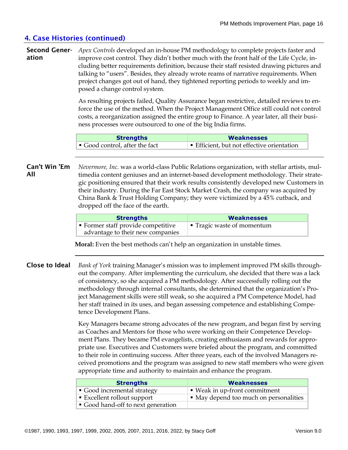# 4. Case Histories (continued)

**Second Gener-** Apex Controls developed an in-house PM methodology to complete projects faster and ation improve cost control. They didn't bother much with the front half of the Life Cycle, including better requirements definition, because their staff resisted drawing pictures and talking to "users". Besides, they already wrote reams of narrative requirements. When project changes got out of hand, they tightened reporting periods to weekly and imposed a change control system.

> As resulting projects failed, Quality Assurance began restrictive, detailed reviews to enforce the use of the method. When the Project Management Office still could not control costs, a reorganization assigned the entire group to Finance. A year later, all their business processes were outsourced to one of the big India firms.

| <b>Strengths</b>             | <b>Weaknesses</b>                        |
|------------------------------|------------------------------------------|
| Good control, after the fact | Efficient, but not effective orientation |

Can't Win 'Em All *Nevermore, Inc.* was a world-class Public Relations organization, with stellar artists, multimedia content geniuses and an internet-based development methodology. Their strategic positioning ensured that their work results consistently developed new Customers in their industry. During the Far East Stock Market Crash, the company was acquired by China Bank & Trust Holding Company; they were victimized by a 45% cutback, and dropped off the face of the earth.

| <b>Strengths</b>                                                     | <b>Weaknesses</b>          |
|----------------------------------------------------------------------|----------------------------|
| Former staff provide competitive<br>advantage to their new companies | ■ Tragic waste of momentum |

 **Moral:** Even the best methods can't help an organization in unstable times.

Close to Ideal *Bank of York* training Manager's mission was to implement improved PM skills throughout the company. After implementing the curriculum, she decided that there was a lack of consistency, so she acquired a PM methodology. After successfully rolling out the methodology through internal consultants, she determined that the organization's Project Management skills were still weak, so she acquired a PM Competence Model, had her staff trained in its uses, and began assessing competence and establishing Competence Development Plans.

> Key Managers became strong advocates of the new program, and began first by serving as Coaches and Mentors for those who were working on their Competence Development Plans. They became PM evangelists, creating enthusiasm and rewards for appropriate use. Executives and Customers were briefed about the program, and committed to their role in continuing success. After three years, each of the involved Managers received promotions and the program was assigned to new staff members who were given appropriate time and authority to maintain and enhance the program.

| <b>Strengths</b>                         | <b>Weaknesses</b>                      |
|------------------------------------------|----------------------------------------|
| • Good incremental strategy              | ■ Weak in up-front commitment          |
| $\blacksquare$ Excellent rollout support | • May depend too much on personalities |
| Good hand-off to next generation         |                                        |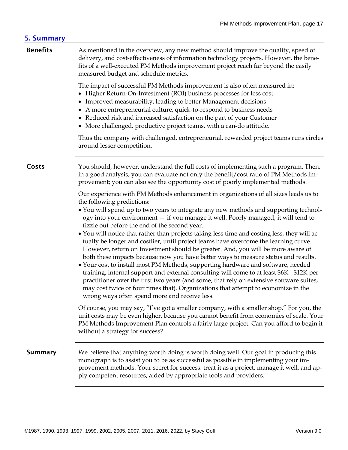| 5. Summary      |                                                                                                                                                                                                                                                                                                                                                                                                                                                                                                                                                                                                                                                                                                                                                                                                                                                                                                                                                                                                                                                                                                                                         |
|-----------------|-----------------------------------------------------------------------------------------------------------------------------------------------------------------------------------------------------------------------------------------------------------------------------------------------------------------------------------------------------------------------------------------------------------------------------------------------------------------------------------------------------------------------------------------------------------------------------------------------------------------------------------------------------------------------------------------------------------------------------------------------------------------------------------------------------------------------------------------------------------------------------------------------------------------------------------------------------------------------------------------------------------------------------------------------------------------------------------------------------------------------------------------|
| <b>Benefits</b> | As mentioned in the overview, any new method should improve the quality, speed of<br>delivery, and cost-effectiveness of information technology projects. However, the bene-<br>fits of a well-executed PM Methods improvement project reach far beyond the easily<br>measured budget and schedule metrics.                                                                                                                                                                                                                                                                                                                                                                                                                                                                                                                                                                                                                                                                                                                                                                                                                             |
|                 | The impact of successful PM Methods improvement is also often measured in:<br>• Higher Return-On-Investment (ROI) business processes for less cost<br>• Improved measurability, leading to better Management decisions<br>• A more entrepreneurial culture, quick-to-respond to business needs<br>• Reduced risk and increased satisfaction on the part of your Customer<br>• More challenged, productive project teams, with a can-do attitude.                                                                                                                                                                                                                                                                                                                                                                                                                                                                                                                                                                                                                                                                                        |
|                 | Thus the company with challenged, entrepreneurial, rewarded project teams runs circles<br>around lesser competition.                                                                                                                                                                                                                                                                                                                                                                                                                                                                                                                                                                                                                                                                                                                                                                                                                                                                                                                                                                                                                    |
| <b>Costs</b>    | You should, however, understand the full costs of implementing such a program. Then,<br>in a good analysis, you can evaluate not only the benefit/cost ratio of PM Methods im-<br>provement; you can also see the opportunity cost of poorly implemented methods.                                                                                                                                                                                                                                                                                                                                                                                                                                                                                                                                                                                                                                                                                                                                                                                                                                                                       |
|                 | Our experience with PM Methods enhancement in organizations of all sizes leads us to<br>the following predictions:<br>• You will spend up to two years to integrate any new methods and supporting technol-<br>ogy into your environment - if you manage it well. Poorly managed, it will tend to<br>fizzle out before the end of the second year.<br>• You will notice that rather than projects taking less time and costing less, they will ac-<br>tually be longer and costlier, until project teams have overcome the learning curve.<br>However, return on Investment should be greater. And, you will be more aware of<br>both these impacts because now you have better ways to measure status and results.<br>• Your cost to install most PM Methods, supporting hardware and software, needed<br>training, internal support and external consulting will come to at least \$6K - \$12K per<br>practitioner over the first two years (and some, that rely on extensive software suites,<br>may cost twice or four times that). Organizations that attempt to economize in the<br>wrong ways often spend more and receive less. |
|                 | Of course, you may say, "I've got a smaller company, with a smaller shop." For you, the<br>unit costs may be even higher, because you cannot benefit from economies of scale. Your<br>PM Methods Improvement Plan controls a fairly large project. Can you afford to begin it<br>without a strategy for success?                                                                                                                                                                                                                                                                                                                                                                                                                                                                                                                                                                                                                                                                                                                                                                                                                        |
| <b>Summary</b>  | We believe that anything worth doing is worth doing well. Our goal in producing this<br>monograph is to assist you to be as successful as possible in implementing your im-<br>provement methods. Your secret for success: treat it as a project, manage it well, and ap-<br>ply competent resources, aided by appropriate tools and providers.                                                                                                                                                                                                                                                                                                                                                                                                                                                                                                                                                                                                                                                                                                                                                                                         |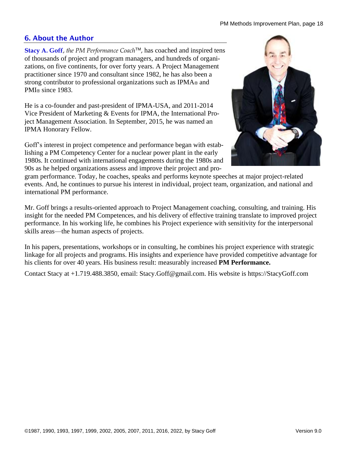# 6. About the Author

**Stacy A. Goff**, *the PM Performance Coach*<sup>™</sup>, has coached and inspired tens of thousands of project and program managers, and hundreds of organizations, on five continents, for over forty years. A Project Management practitioner since 1970 and consultant since 1982, he has also been a strong contributor to professional organizations such as IPMA® and PMI<sub>®</sub> since 1983.

He is a co-founder and past-president of IPMA-USA, and 2011-2014 Vice President of Marketing & Events for IPMA, the International Project Management Association. In September, 2015, he was named an IPMA Honorary Fellow.

Goff's interest in project competence and performance began with establishing a PM Competency Center for a nuclear power plant in the early 1980s. It continued with international engagements during the 1980s and 90s as he helped organizations assess and improve their project and pro-



gram performance. Today, he coaches, speaks and performs keynote speeches at major project-related events. And, he continues to pursue his interest in individual, project team, organization, and national and international PM performance.

Mr. Goff brings a results-oriented approach to Project Management coaching, consulting, and training. His insight for the needed PM Competences, and his delivery of effective training translate to improved project performance. In his working life, he combines his Project experience with sensitivity for the interpersonal skills areas—the human aspects of projects.

In his papers, presentations, workshops or in consulting, he combines his project experience with strategic linkage for all projects and programs. His insights and experience have provided competitive advantage for his clients for over 40 years. His business result: measurably increased **PM Performance.** 

Contact Stacy at +1.719.488.3850, email: Stacy.Goff@gmail.com. His website is https://StacyGoff.com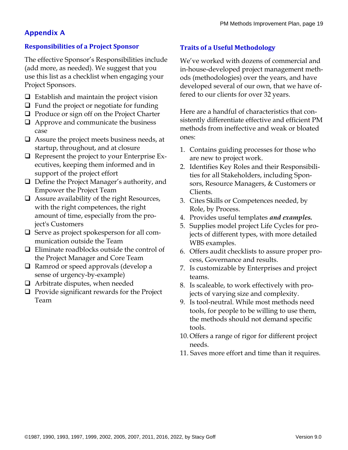# Appendix A

# **Responsibilities of a Project Sponsor**

The effective Sponsor's Responsibilities include (add more, as needed). We suggest that you use this list as a checklist when engaging your Project Sponsors.

- $\Box$  Establish and maintain the project vision
- ❑ Fund the project or negotiate for funding
- ❑ Produce or sign off on the Project Charter
- ❑ Approve and communicate the business case
- ❑ Assure the project meets business needs, at startup, throughout, and at closure
- ❑ Represent the project to your Enterprise Executives, keeping them informed and in support of the project effort
- ❑ Define the Project Manager's authority, and Empower the Project Team
- ❑ Assure availability of the right Resources, with the right competences, the right amount of time, especially from the project's Customers
- ❑ Serve as project spokesperson for all communication outside the Team
- ❑ Eliminate roadblocks outside the control of the Project Manager and Core Team
- ❑ Ramrod or speed approvals (develop a sense of urgency-by-example)
- ❑ Arbitrate disputes, when needed
- ❑ Provide significant rewards for the Project Team

# **Traits of a Useful Methodology**

We've worked with dozens of commercial and in-house-developed project management methods (methodologies) over the years, and have developed several of our own, that we have offered to our clients for over 32 years.

Here are a handful of characteristics that consistently differentiate effective and efficient PM methods from ineffective and weak or bloated ones:

- 1. Contains guiding processes for those who are new to project work.
- 2. Identifies Key Roles and their Responsibilities for all Stakeholders, including Sponsors, Resource Managers, & Customers or Clients.
- 3. Cites Skills or Competences needed, by Role, by Process.
- 4. Provides useful templates *and examples.*
- 5. Supplies model project Life Cycles for projects of different types, with more detailed WBS examples.
- 6. Offers audit checklists to assure proper process, Governance and results.
- 7. Is customizable by Enterprises and project teams.
- 8. Is scaleable, to work effectively with projects of varying size and complexity.
- 9. Is tool-neutral. While most methods need tools, for people to be willing to use them, the methods should not demand specific tools.
- 10. Offers a range of rigor for different project needs.
- 11. Saves more effort and time than it requires.